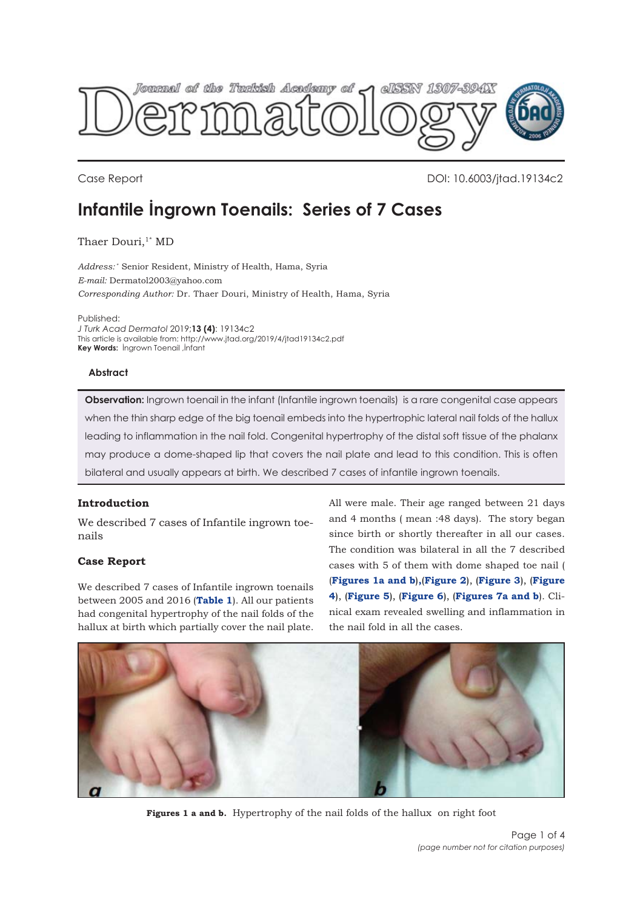<span id="page-0-0"></span>

Case Report DOI: 10.6003/jtad.19134c2

# **Infantile İngrown Toenails: Series of 7 Cases**

Thaer Douri,<sup>1\*</sup> MD

*Address:* \* Senior Resident, Ministry of Health, Hama, Syria *E-mail:* Dermatol2003@yahoo.com *Corresponding Author:* Dr. Thaer Douri, Ministry of Health, Hama, Syria

Published:

*J Turk Acad Dermatol* 2019;**13 (4)**: 19134c2 This article is available from: http://www.jtad.org/2019/4/jtad19134c2.pdf **Key Words:** İngrown Toenail ,İnfant

### **Abstract**

**Observation:** Ingrown toenail in the infant (Infantile ingrown toenails) is a rare congenital case appears when the thin sharp edge of the big toenail embeds into the hypertrophic lateral nail folds of the hallux leading to inflammation in the nail fold. Congenital hypertrophy of the distal soft tissue of the phalanx may produce a dome-shaped lip that covers the nail plate and lead to this condition. This is often bilateral and usually appears at birth. We described 7 cases of infantile ingrown toenails.

# **Introduction**

We described 7 cases of Infantile ingrown toenails

# **Case Report**

We described 7 cases of Infantile ingrown toenails between 2005 and 2016 (**[Table 1](#page-1-0)**). All our patients had congenital hypertrophy of the nail folds of the hallux at birth which partially cover the nail plate.

All were male. Their age ranged between 21 days and 4 months ( mean :48 days). The story began since birth or shortly thereafter in all our cases. The condition was bilateral in all the 7 described cases with 5 of them with dome shaped toe nail ( (**Figures 1a and b**)**,**(**[Figure 2](#page-1-0)**), (**[Figure 3](#page-1-0)**), (**[Figur](#page-2-0)e 4**), (**[Figure 5](#page-2-0)**), (**[Figure 6](#page-2-0)**), (**[Figures 7a and b](#page-2-0)**). Clinical exam revealed swelling and inflammation in the nail fold in all the cases.



**Figures 1 a and b.** Hypertrophy of the nail folds of the hallux on right foot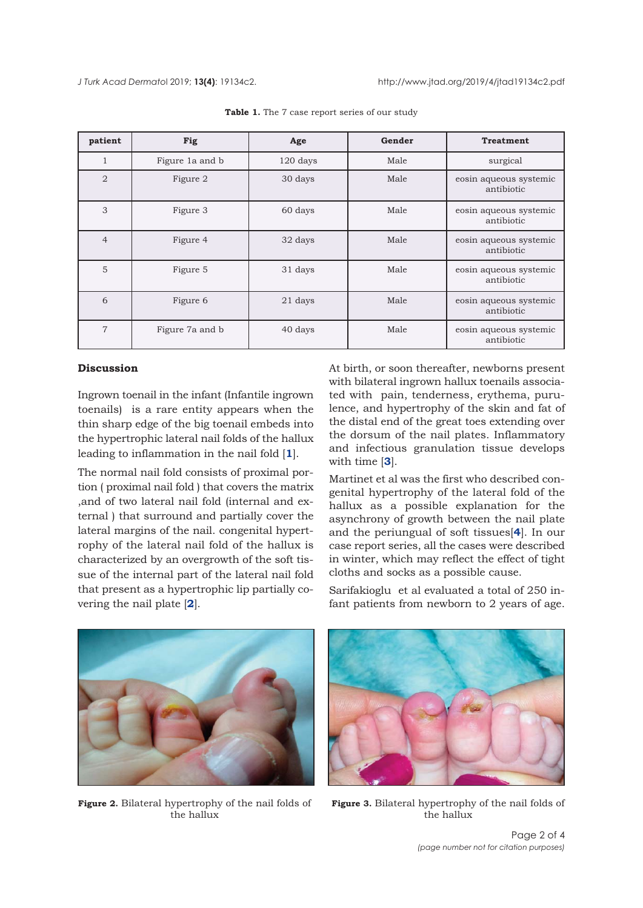<span id="page-1-0"></span>

| patient        | Fig             | Age      | Gender | <b>Treatment</b>                     |
|----------------|-----------------|----------|--------|--------------------------------------|
| 1              | Figure 1a and b | 120 days | Male   | surgical                             |
| $\overline{2}$ | Figure 2        | 30 days  | Male   | eosin aqueous systemic<br>antibiotic |
| 3              | Figure 3        | 60 days  | Male   | eosin aqueous systemic<br>antibiotic |
| $\overline{4}$ | Figure 4        | 32 days  | Male   | eosin aqueous systemic<br>antibiotic |
| 5              | Figure 5        | 31 days  | Male   | eosin aqueous systemic<br>antibiotic |
| 6              | Figure 6        | 21 days  | Male   | eosin aqueous systemic<br>antibiotic |
| $\overline{7}$ | Figure 7a and b | 40 days  | Male   | eosin aqueous systemic<br>antibiotic |

Table 1. The 7 case report series of our study

### **Discussion**

Ingrown toenail in the infant (Infantile ingrown toenails) is a rare entity appears when the thin sharp edge of the big toenail embeds into the hypertrophic lateral nail folds of the hallux leading to inflammation in the nail fold [**[1](#page-2-0)**].

The normal nail fold consists of proximal portion ( proximal nail fold ) that covers the matrix ,and of two lateral nail fold (internal and external ) that surround and partially cover the lateral margins of the nail. congenital hypertrophy of the lateral nail fold of the hallux is characterized by an overgrowth of the soft tissue of the internal part of the lateral nail fold that present as a hypertrophic lip partially covering the nail plate [**[2](#page-2-0)**].

At birth, or soon thereafter, newborns present with bilateral ingrown hallux toenails associated with pain, tenderness, erythema, purulence, and hypertrophy of the skin and fat of the distal end of the great toes extending over the dorsum of the nail plates. Inflammatory and infectious granulation tissue develops with time [**[3](#page-2-0)**].

Martinet et al was the first who described congenital hypertrophy of the lateral fold of the hallux as a possible explanation for the asynchrony of growth between the nail plate and the periungual of soft tissues[**[4](#page-3-0)**]. In our case report series, all the cases were described in winter, which may reflect the effect of tight cloths and socks as a possible cause.



Sarifakioglu et al evaluated a total of 250 infant patients from newborn to 2 years of age.



**Figure 2.** Bilateral hypertrophy of the nail folds of the hallux



**Figure 3.** Bilateral hypertrophy of the nail folds of the hallux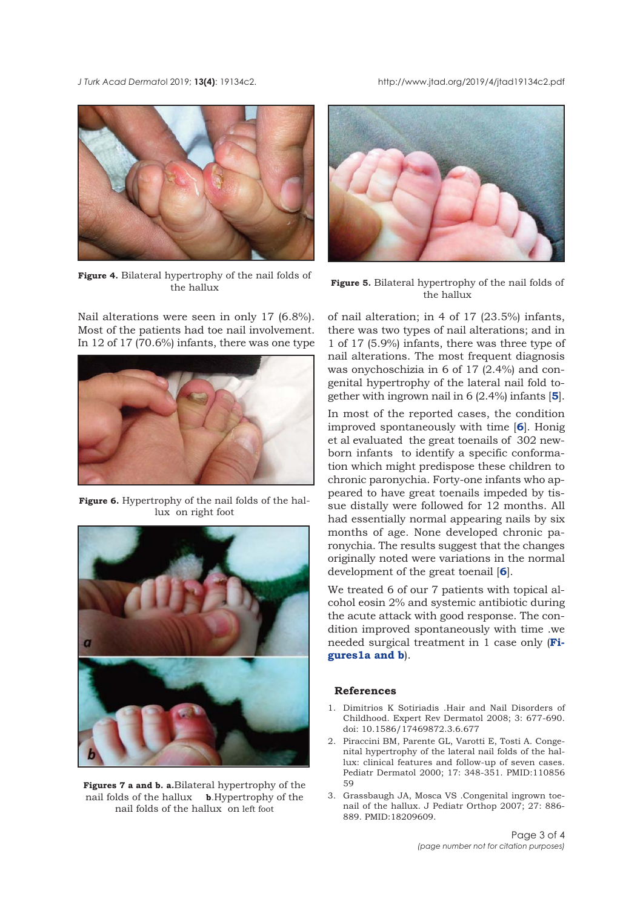<span id="page-2-0"></span>*J Turk Acad Dermato*l 2019; **13(4)**: 19134c2. http://www.jtad.org/2019/4/jtad19134c2.pdf



**Figure 4.** Bilateral hypertrophy of the nail folds of the hallux

Nail alterations were seen in only 17 (6.8%). Most of the patients had toe nail involvement. In 12 of 17 (70.6%) infants, there was one type



**Figure 6.** Hypertrophy of the nail folds of the hallux on right foot



**Figures 7 a and b. a.**Bilateral hypertrophy of the nail folds of the hallux **b**.Hypertrophy of the nail folds of the hallux on left foot



**Figure 5.** Bilateral hypertrophy of the nail folds of the hallux

of nail alteration; in 4 of 17 (23.5%) infants, there was two types of nail alterations; and in 1 of 17 (5.9%) infants, there was three type of nail alterations. The most frequent diagnosis was onychoschizia in 6 of 17 (2.4%) and congenital hypertrophy of the lateral nail fold together with ingrown nail in 6 (2.4%) infants [**[5](#page-3-0)**].

In most of the reported cases, the condition improved spontaneously with time [**6**]. Honig et al evaluated the great toenails of 302 newborn infants to identify a specific conformation which might predispose these children to chronic paronychia. Forty-one infants who appeared to have great toenails impeded by tissue distally were followed for 12 months. All had essentially normal appearing nails by six months of age. None developed chronic paronychia. The results suggest that the changes originally noted were variations in the normal development of the great toenail [**[6](#page-3-0)**].

We treated 6 of our 7 patients with topical alcohol eosin 2% and systemic antibiotic during the acute attack with good response. The condition improved spontaneously with time .we [needed surgical treatment in 1 case only \(](#page-0-0)**Figures1a and b**).

# **References**

- 1. Dimitrios K Sotiriadis .Hair and Nail Disorders of Childhood. Expert Rev Dermatol 2008; 3: 677-690. doi: 10.1586/17469872.3.6.677
- 2. Piraccini BM, Parente GL, Varotti E, Tosti A. Congenital hypertrophy of the lateral nail folds of the hallux: clinical features and follow-up of seven cases. Pediatr Dermatol 2000; 17: 348-351. PMID:110856 59
- 3. Grassbaugh JA, Mosca VS .Congenital ingrown toenail of the hallux. J Pediatr Orthop 2007; 27: 886- 889. PMID:18209609.